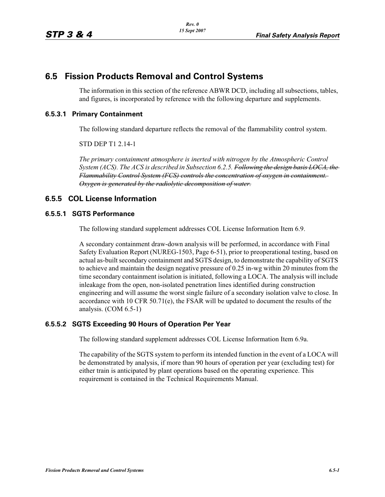# **6.5 Fission Products Removal and Control Systems**

The information in this section of the reference ABWR DCD, including all subsections, tables, and figures, is incorporated by reference with the following departure and supplements.

#### **6.5.3.1 Primary Containment**

The following standard departure reflects the removal of the flammability control system.

STD DEP T1 2.14-1

*The primary containment atmosphere is inerted with nitrogen by the Atmospheric Control System (ACS). The ACS is described in Subsection 6.2.5. Following the design basis LOCA, the Flammability Control System (FCS) controls the concentration of oxygen in containment. Oxygen is generated by the radiolytic decomposition of water.*

### **6.5.5 COL License Information**

#### **6.5.5.1 SGTS Performance**

The following standard supplement addresses COL License Information Item 6.9.

A secondary containment draw-down analysis will be performed, in accordance with Final Safety Evaluation Report (NUREG-1503, Page 6-51), prior to preoperational testing, based on actual as-built secondary containment and SGTS design, to demonstrate the capability of SGTS to achieve and maintain the design negative pressure of 0.25 in-wg within 20 minutes from the time secondary containment isolation is initiated, following a LOCA. The analysis will include inleakage from the open, non-isolated penetration lines identified during construction engineering and will assume the worst single failure of a secondary isolation valve to close. In accordance with 10 CFR  $50.71(e)$ , the FSAR will be updated to document the results of the analysis. (COM 6.5-1)

### **6.5.5.2 SGTS Exceeding 90 Hours of Operation Per Year**

The following standard supplement addresses COL License Information Item 6.9a.

The capability of the SGTS system to perform its intended function in the event of a LOCA will be demonstrated by analysis, if more than 90 hours of operation per year (excluding test) for either train is anticipated by plant operations based on the operating experience. This requirement is contained in the Technical Requirements Manual.